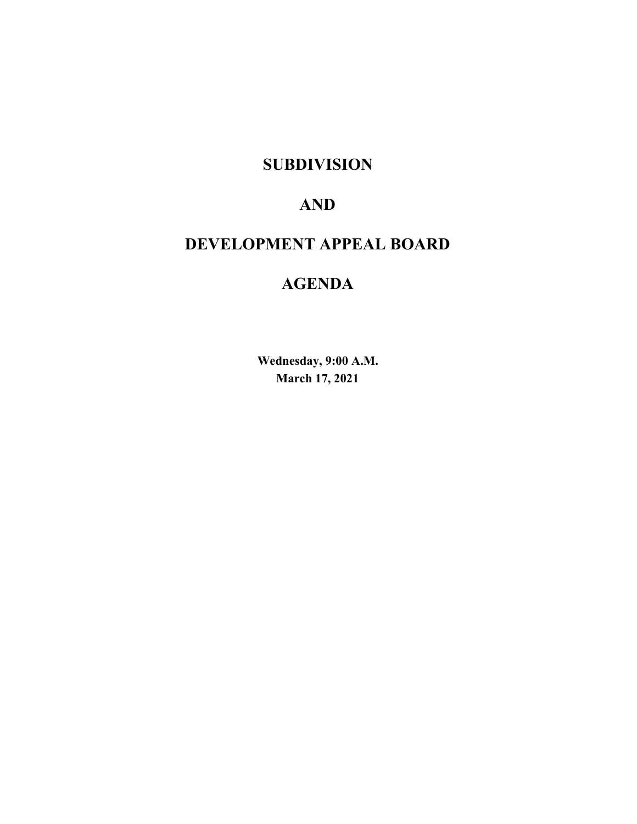# **SUBDIVISION**

# **AND**

# **DEVELOPMENT APPEAL BOARD**

# **AGENDA**

**Wednesday, 9:00 A.M. March 17, 2021**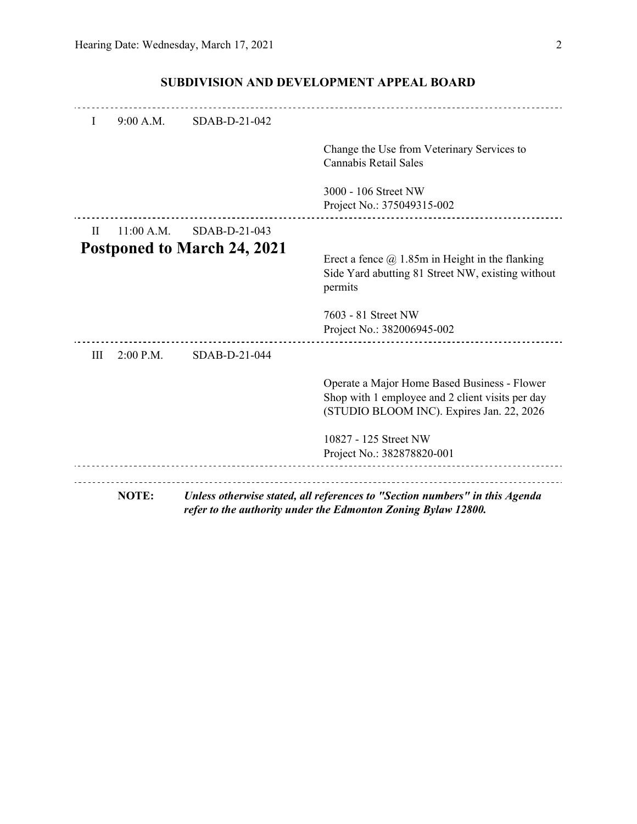| $\mathbf{I}$ | 9:00 A.M.    | SDAB-D-21-042                      |                                                                                                                                               |
|--------------|--------------|------------------------------------|-----------------------------------------------------------------------------------------------------------------------------------------------|
|              |              |                                    | Change the Use from Veterinary Services to<br>Cannabis Retail Sales                                                                           |
|              |              |                                    | 3000 - 106 Street NW<br>Project No.: 375049315-002                                                                                            |
| $\rm{II}$    | $11:00$ A.M. | SDAB-D-21-043                      |                                                                                                                                               |
|              |              | <b>Postponed to March 24, 2021</b> | Erect a fence $\omega$ 1.85m in Height in the flanking<br>Side Yard abutting 81 Street NW, existing without<br>permits                        |
|              |              |                                    | 7603 - 81 Street NW<br>Project No.: 382006945-002                                                                                             |
| III          | $2:00$ P.M.  | SDAB-D-21-044                      |                                                                                                                                               |
|              |              |                                    | Operate a Major Home Based Business - Flower<br>Shop with 1 employee and 2 client visits per day<br>(STUDIO BLOOM INC). Expires Jan. 22, 2026 |
|              |              |                                    | 10827 - 125 Street NW<br>Project No.: 382878820-001                                                                                           |
| <b>NOTE:</b> |              |                                    | Unless otherwise stated, all references to "Section numbers" in this Agenda<br>refer to the authority under the Edmonton Zoning Bylaw 12800.  |

# **SUBDIVISION AND DEVELOPMENT APPEAL BOARD**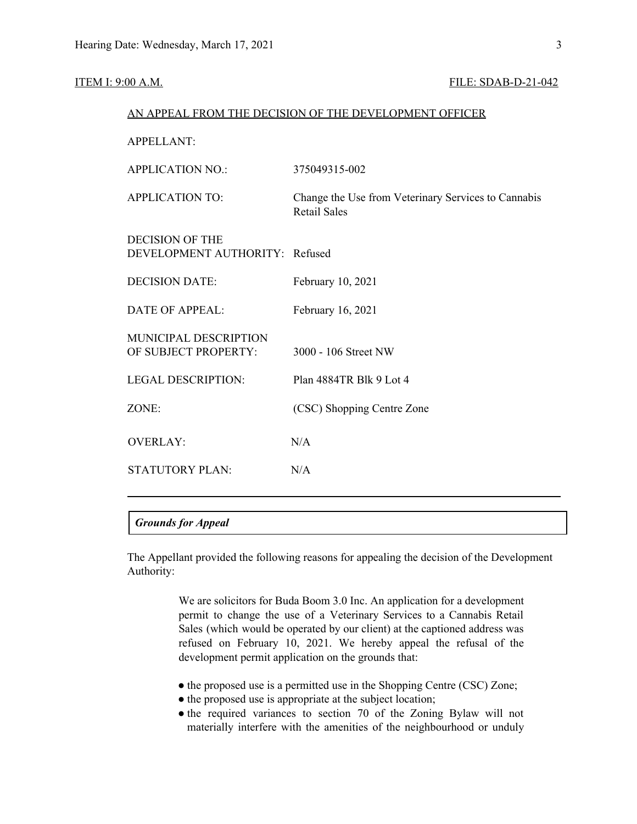#### **ITEM I: 9:00 A.M. FILE: SDAB-D-21-042**

|                                                          | AN APPEAL FROM THE DECISION OF THE DEVELOPMENT OFFICER                     |
|----------------------------------------------------------|----------------------------------------------------------------------------|
| <b>APPELLANT:</b>                                        |                                                                            |
| <b>APPLICATION NO.:</b>                                  | 375049315-002                                                              |
| <b>APPLICATION TO:</b>                                   | Change the Use from Veterinary Services to Cannabis<br><b>Retail Sales</b> |
| <b>DECISION OF THE</b><br>DEVELOPMENT AUTHORITY: Refused |                                                                            |
| <b>DECISION DATE:</b>                                    | February 10, 2021                                                          |
| <b>DATE OF APPEAL:</b>                                   | February 16, 2021                                                          |
| MUNICIPAL DESCRIPTION<br>OF SUBJECT PROPERTY:            | 3000 - 106 Street NW                                                       |
| <b>LEGAL DESCRIPTION:</b>                                | Plan 4884TR Blk 9 Lot 4                                                    |
| ZONE:                                                    | (CSC) Shopping Centre Zone                                                 |
| <b>OVERLAY:</b>                                          | N/A                                                                        |
| <b>STATUTORY PLAN:</b>                                   | N/A                                                                        |
|                                                          |                                                                            |

# *Grounds for Appeal*

The Appellant provided the following reasons for appealing the decision of the Development Authority:

> We are solicitors for Buda Boom 3.0 Inc. An application for a development permit to change the use of a Veterinary Services to a Cannabis Retail Sales (which would be operated by our client) at the captioned address was refused on February 10, 2021. We hereby appeal the refusal of the development permit application on the grounds that:

- the proposed use is a permitted use in the Shopping Centre (CSC) Zone;
- the proposed use is appropriate at the subject location;
- the required variances to section 70 of the Zoning Bylaw will not materially interfere with the amenities of the neighbourhood or unduly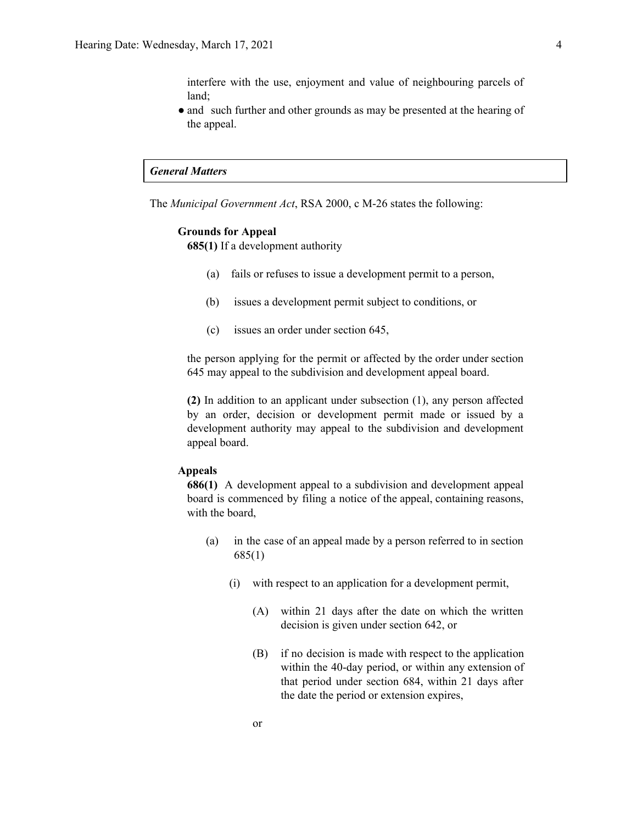interfere with the use, enjoyment and value of neighbouring parcels of land;

• and such further and other grounds as may be presented at the hearing of the appeal.

# *General Matters*

The *Municipal Government Act*, RSA 2000, c M-26 states the following:

### **Grounds for Appeal**

**685(1)** If a development authority

- (a) fails or refuses to issue a development permit to a person,
- (b) issues a development permit subject to conditions, or
- (c) issues an order under section 645,

the person applying for the permit or affected by the order under section 645 may appeal to the subdivision and development appeal board.

**(2)** In addition to an applicant under subsection (1), any person affected by an order, decision or development permit made or issued by a development authority may appeal to the subdivision and development appeal board.

### **Appeals**

**686(1)** A development appeal to a subdivision and development appeal board is commenced by filing a notice of the appeal, containing reasons, with the board,

- (a) in the case of an appeal made by a person referred to in section 685(1)
	- (i) with respect to an application for a development permit,
		- (A) within 21 days after the date on which the written decision is given under section 642, or
		- (B) if no decision is made with respect to the application within the 40-day period, or within any extension of that period under section 684, within 21 days after the date the period or extension expires,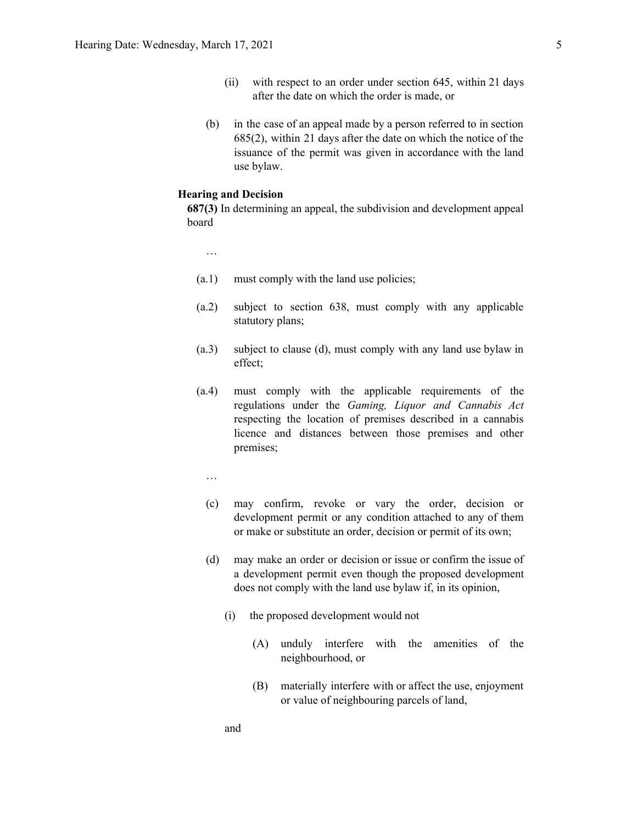- (ii) with respect to an order under section 645, within 21 days after the date on which the order is made, or
- (b) in the case of an appeal made by a person referred to in section 685(2), within 21 days after the date on which the notice of the issuance of the permit was given in accordance with the land use bylaw.

#### **Hearing and Decision**

**687(3)** In determining an appeal, the subdivision and development appeal board

…

- (a.1) must comply with the land use policies;
- (a.2) subject to section 638, must comply with any applicable statutory plans;
- (a.3) subject to clause (d), must comply with any land use bylaw in effect;
- (a.4) must comply with the applicable requirements of the regulations under the *Gaming, Liquor and Cannabis Act* respecting the location of premises described in a cannabis licence and distances between those premises and other premises;
	- …
	- (c) may confirm, revoke or vary the order, decision or development permit or any condition attached to any of them or make or substitute an order, decision or permit of its own;
	- (d) may make an order or decision or issue or confirm the issue of a development permit even though the proposed development does not comply with the land use bylaw if, in its opinion,
		- (i) the proposed development would not
			- (A) unduly interfere with the amenities of the neighbourhood, or
			- (B) materially interfere with or affect the use, enjoyment or value of neighbouring parcels of land,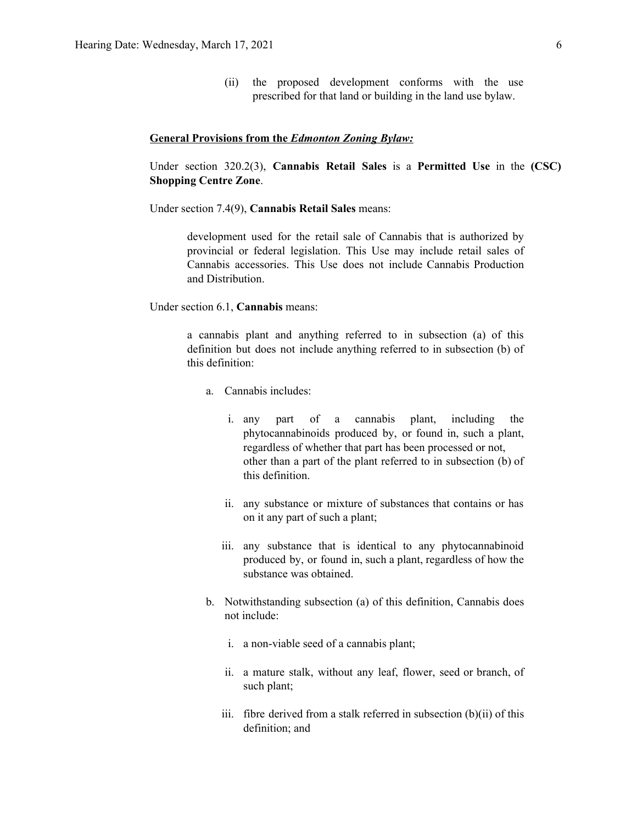(ii) the proposed development conforms with the use prescribed for that land or building in the land use bylaw.

### **General Provisions from the** *Edmonton Zoning Bylaw:*

Under section 320.2(3), **Cannabis Retail Sales** is a **Permitted Use** in the **(CSC) Shopping Centre Zone**.

Under section 7.4(9), **Cannabis Retail Sales** means:

development used for the retail sale of Cannabis that is authorized by provincial or federal legislation. This Use may include retail sales of Cannabis accessories. This Use does not include Cannabis Production and Distribution.

Under section 6.1, **Cannabis** means:

a cannabis plant and anything referred to in subsection (a) of this definition but does not include anything referred to in subsection (b) of this definition:

- a. Cannabis includes:
	- i. any part of a cannabis plant, including the phytocannabinoids produced by, or found in, such a plant, regardless of whether that part has been processed or not, other than a part of the plant referred to in subsection (b) of this definition.
	- ii. any substance or mixture of substances that contains or has on it any part of such a plant;
	- iii. any substance that is identical to any phytocannabinoid produced by, or found in, such a plant, regardless of how the substance was obtained.
- b. Notwithstanding subsection (a) of this definition, Cannabis does not include:
	- i. a non-viable seed of a cannabis plant;
	- ii. a mature stalk, without any leaf, flower, seed or branch, of such plant;
	- iii. fibre derived from a stalk referred in subsection (b)(ii) of this definition; and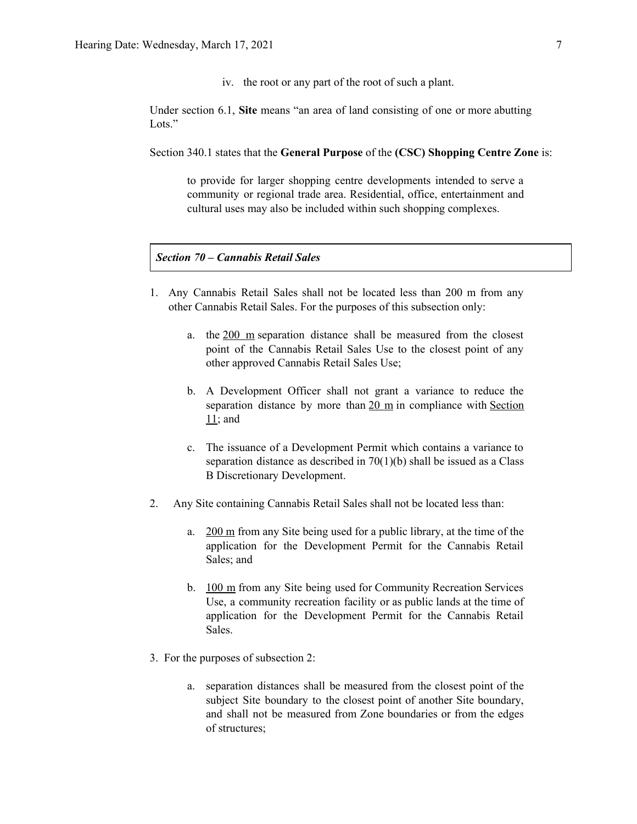iv. the root or any part of the root of such a plant.

Under section 6.1, **Site** means "an area of land consisting of one or more abutting Lots<sup>"</sup>

Section 340.1 states that the **General Purpose** of the **(CSC) Shopping Centre Zone** is:

to provide for larger shopping centre developments intended to serve a community or regional trade area. Residential, office, entertainment and cultural uses may also be included within such shopping complexes.

## *Section 70 – Cannabis Retail Sales*

- 1. Any Cannabis Retail Sales shall not be located less than 200 m from any other Cannabis Retail Sales. For the purposes of this subsection only:
	- a. the 200 m separation distance shall be measured from the closest point of the Cannabis Retail Sales Use to the closest point of any other approved Cannabis Retail Sales Use;
	- b. A Development Officer shall not grant a variance to reduce the separation distance by more than  $20 \text{ m}$  in compliance with Section 11; and
	- c. The issuance of a Development Permit which contains a variance to separation distance as described in 70(1)(b) shall be issued as a Class B Discretionary Development.
- 2. Any Site containing Cannabis Retail Sales shall not be located less than:
	- a. 200 m from any Site being used for a public library, at the time of the application for the Development Permit for the Cannabis Retail Sales; and
	- b. 100 m from any Site being used for Community Recreation Services Use, a community recreation facility or as public lands at the time of application for the Development Permit for the Cannabis Retail Sales.
- 3. For the purposes of subsection 2:
	- a. separation distances shall be measured from the closest point of the subject Site boundary to the closest point of another Site boundary, and shall not be measured from Zone boundaries or from the edges of structures;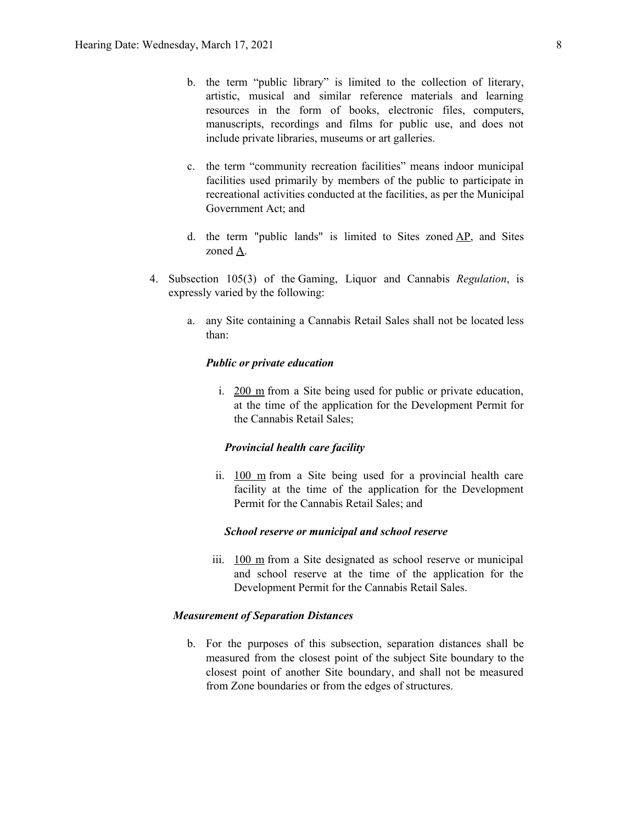- b. the term "public library" is limited to the collection of literary, artistic, musical and similar reference materials and learning resources in the form of books, electronic files, computers, manuscripts, recordings and films for public use, and does not include private libraries, museums or art galleries.
- c. the term "community recreation facilities" means indoor municipal facilities used primarily by members of the public to participate in recreational activities conducted at the facilities, as per the Municipal Government Act; and
- d. the term "public lands" is limited to Sites zoned AP, and Sites zoned A.
- 4. Subsection 105(3) of the Gaming, Liquor and Cannabis *Regulation*, is expressly varied by the following:
	- a. any Site containing a Cannabis Retail Sales shall not be located less than:

#### *Public or private education*

i. 200 m from a Site being used for public or private education, at the time of the application for the Development Permit for the Cannabis Retail Sales;

#### *Provincial health care facility*

ii. 100 m from a Site being used for a provincial health care facility at the time of the application for the Development Permit for the Cannabis Retail Sales; and

#### *School reserve or municipal and school reserve*

iii. 100 m from a Site designated as school reserve or municipal and school reserve at the time of the application for the Development Permit for the Cannabis Retail Sales.

#### *Measurement of Separation Distances*

b. For the purposes of this subsection, separation distances shall be measured from the closest point of the subject Site boundary to the closest point of another Site boundary, and shall not be measured from Zone boundaries or from the edges of structures.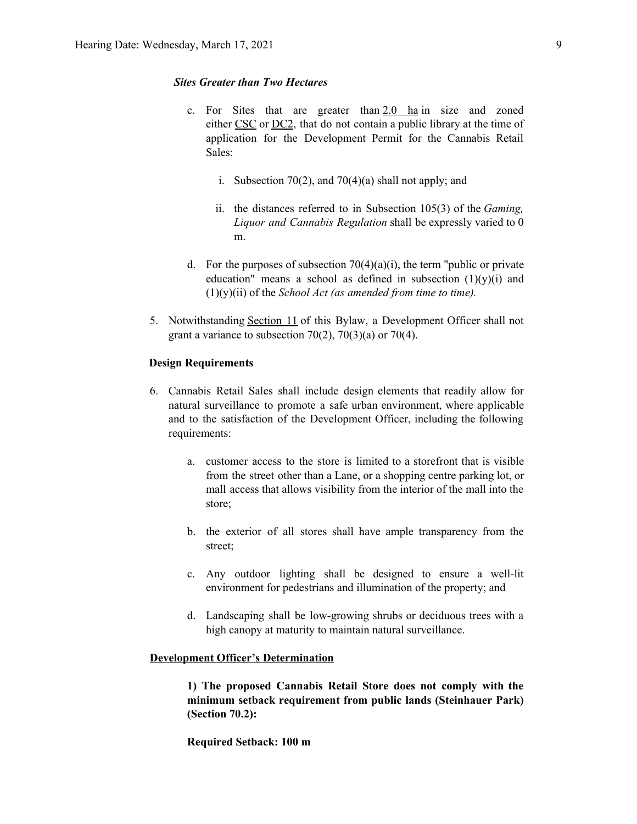#### *Sites Greater than Two Hectares*

- c. For Sites that are greater than 2.0 ha in size and zoned either CSC or DC2, that do not contain a public library at the time of application for the Development Permit for the Cannabis Retail Sales:
	- i. Subsection 70(2), and 70(4)(a) shall not apply; and
	- ii. the distances referred to in Subsection 105(3) of the *Gaming, Liquor and Cannabis Regulation* shall be expressly varied to 0 m.
- d. For the purposes of subsection  $70(4)(a)(i)$ , the term "public or private education" means a school as defined in subsection  $(1)(y)(i)$  and  $(1)(y)(ii)$  of the *School Act (as amended from time to time).*
- 5. Notwithstanding Section 11 of this Bylaw, a Development Officer shall not grant a variance to subsection  $70(2)$ ,  $70(3)(a)$  or  $70(4)$ .

#### **Design Requirements**

- 6. Cannabis Retail Sales shall include design elements that readily allow for natural surveillance to promote a safe urban environment, where applicable and to the satisfaction of the Development Officer, including the following requirements:
	- a. customer access to the store is limited to a storefront that is visible from the street other than a Lane, or a shopping centre parking lot, or mall access that allows visibility from the interior of the mall into the store;
	- b. the exterior of all stores shall have ample transparency from the street;
	- c. Any outdoor lighting shall be designed to ensure a well-lit environment for pedestrians and illumination of the property; and
	- d. Landscaping shall be low-growing shrubs or deciduous trees with a high canopy at maturity to maintain natural surveillance.

#### **Development Officer's Determination**

**1) The proposed Cannabis Retail Store does not comply with the minimum setback requirement from public lands (Steinhauer Park) (Section 70.2):**

**Required Setback: 100 m**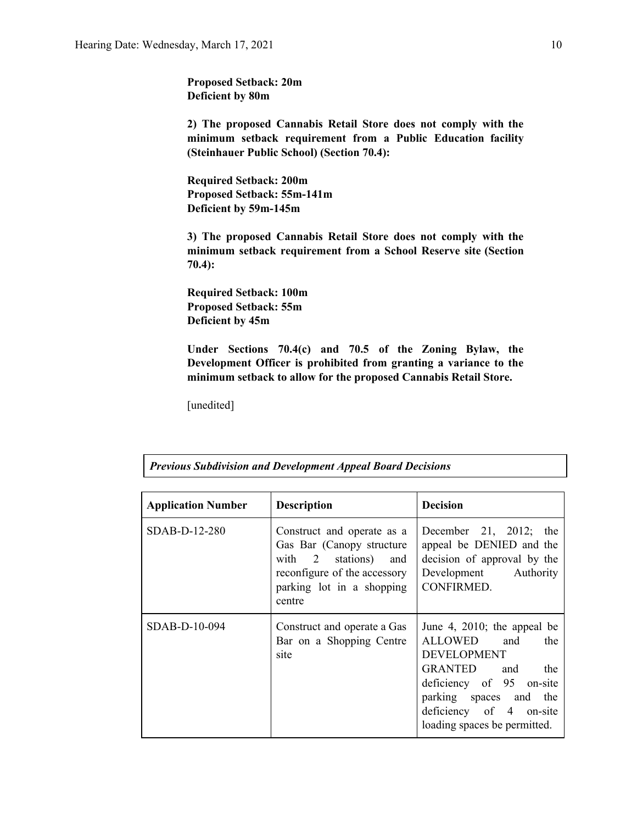**Proposed Setback: 20m Deficient by 80m**

**2) The proposed Cannabis Retail Store does not comply with the minimum setback requirement from a Public Education facility (Steinhauer Public School) (Section 70.4):**

**Required Setback: 200m Proposed Setback: 55m-141m Deficient by 59m-145m**

**3) The proposed Cannabis Retail Store does not comply with the minimum setback requirement from a School Reserve site (Section 70.4):**

**Required Setback: 100m Proposed Setback: 55m Deficient by 45m**

**Under Sections 70.4(c) and 70.5 of the Zoning Bylaw, the Development Officer is prohibited from granting a variance to the minimum setback to allow for the proposed Cannabis Retail Store.**

[unedited]

*Previous Subdivision and Development Appeal Board Decisions*

| <b>Application Number</b> | <b>Description</b>                                                                                                                                        | <b>Decision</b>                                                                                                          |
|---------------------------|-----------------------------------------------------------------------------------------------------------------------------------------------------------|--------------------------------------------------------------------------------------------------------------------------|
| SDAB-D-12-280             | Construct and operate as a<br>Gas Bar (Canopy structure<br>with 2 stations)<br>and<br>reconfigure of the accessory<br>parking lot in a shopping<br>centre | December 21, 2012; the<br>appeal be DENIED and the<br>decision of approval by the<br>Development Authority<br>CONFIRMED. |
| SDAB-D-10-094             | Construct and operate a Gas<br>Bar on a Shopping Centre<br>site                                                                                           |                                                                                                                          |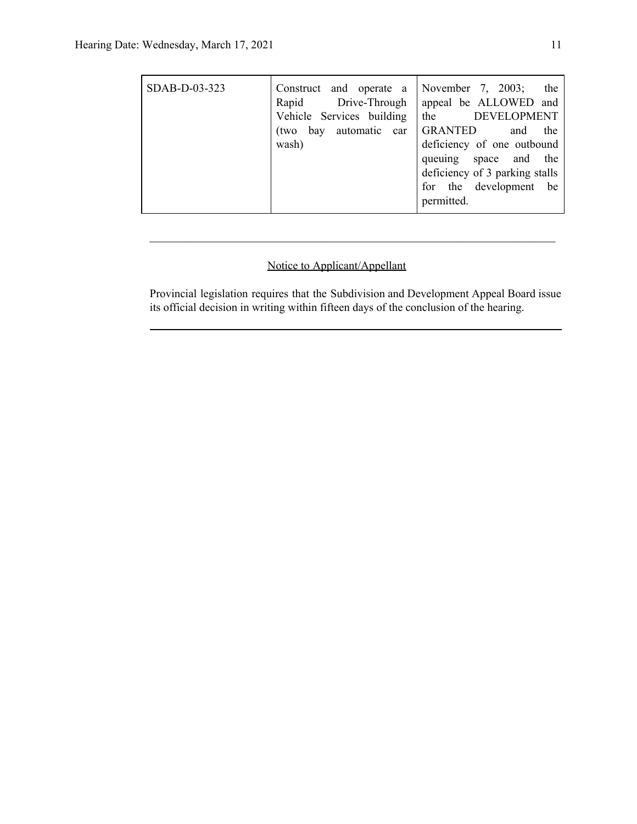| SDAB-D-03-323 | Construct and operate a<br>Rapid Drive-Through<br>Vehicle Services building<br>bay automatic car<br>(two<br>wash) | November 7, $2003$ ;<br>the<br>appeal be ALLOWED and<br><b>DEVELOPMENT</b><br>the<br><b>GRANTED</b><br>the<br>and<br>deficiency of one outbound<br>queuing space and the<br>deficiency of 3 parking stalls<br>for the development be<br>permitted. |
|---------------|-------------------------------------------------------------------------------------------------------------------|----------------------------------------------------------------------------------------------------------------------------------------------------------------------------------------------------------------------------------------------------|
|---------------|-------------------------------------------------------------------------------------------------------------------|----------------------------------------------------------------------------------------------------------------------------------------------------------------------------------------------------------------------------------------------------|

# Notice to Applicant/Appellant

Provincial legislation requires that the Subdivision and Development Appeal Board issue its official decision in writing within fifteen days of the conclusion of the hearing.

 $\mathcal{L}_\text{max}$  , and the contribution of the contribution of the contribution of the contribution of the contribution of the contribution of the contribution of the contribution of the contribution of the contribution of t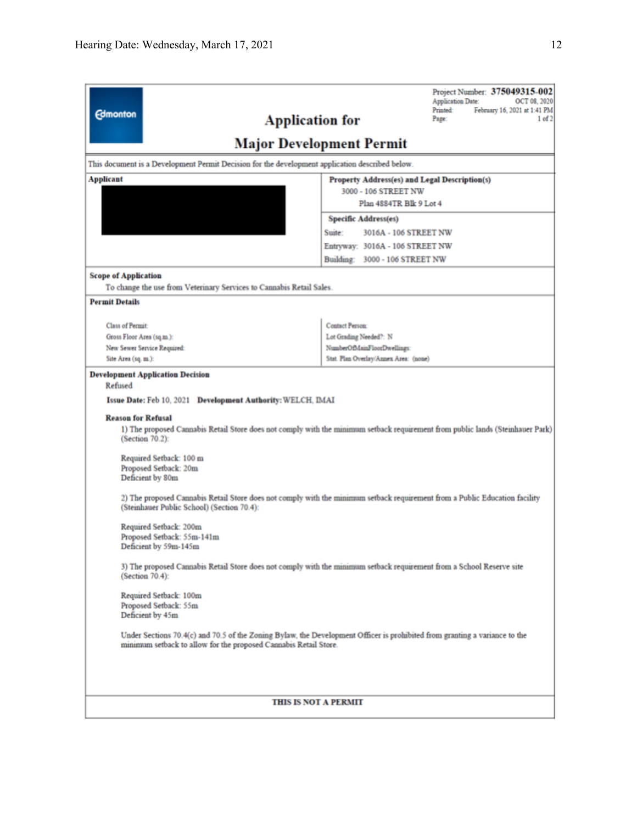| <b>Edmonton</b>                                                                                                              | Project Number: 375049315-002<br>OCT 08, 2020<br><b>Application Date:</b><br><b>Printed:</b><br>February 16, 2021 at 1:41 PM<br>1 of 2<br><b>Application for</b><br>Page: |  |  |
|------------------------------------------------------------------------------------------------------------------------------|---------------------------------------------------------------------------------------------------------------------------------------------------------------------------|--|--|
|                                                                                                                              | <b>Major Development Permit</b>                                                                                                                                           |  |  |
| This document is a Development Permit Decision for the development application described below.                              |                                                                                                                                                                           |  |  |
| <b>Applicant</b><br>Property Address(es) and Legal Description(s)<br>3000 - 106 STREET NW                                    |                                                                                                                                                                           |  |  |
|                                                                                                                              | Plan 4884TR Blk 9 Lot 4                                                                                                                                                   |  |  |
|                                                                                                                              | <b>Specific Address(es)</b>                                                                                                                                               |  |  |
|                                                                                                                              | Suite:<br>3016A - 106 STREET NW                                                                                                                                           |  |  |
|                                                                                                                              | Entryway: 3016A - 106 STREET NW<br>Building: 3000 - 106 STREET NW                                                                                                         |  |  |
| <b>Scope of Application</b><br>To change the use from Veterinary Services to Cannabis Retail Sales.<br><b>Permit Details</b> |                                                                                                                                                                           |  |  |
|                                                                                                                              |                                                                                                                                                                           |  |  |
| <b>Class of Permit:</b>                                                                                                      | Contact Person:                                                                                                                                                           |  |  |
| Gross Floor Area (sq.m.):                                                                                                    | Lot Grading Needed?: N                                                                                                                                                    |  |  |
| New Sewer Service Required:<br>Site Area (sq. m.):                                                                           | NumberOfMainFloorDwellings:<br>Stat. Plan Overlay/Annex Area: (none)                                                                                                      |  |  |
| <b>Reason for Refusal</b><br>(Section 70.2):                                                                                 | 1) The proposed Cannabis Retail Store does not comply with the minimum setback requirement from public lands (Steinhauer Park)                                            |  |  |
| Required Setback: 100 m<br>Proposed Setback: 20m<br>Deficient by 80m                                                         |                                                                                                                                                                           |  |  |
| (Steinhauer Public School) (Section 70.4):                                                                                   | 2) The proposed Cannabis Retail Store does not comply with the minimum setback requirement from a Public Education facility                                               |  |  |
| Required Setback: 200m<br>Proposed Setback: 55m-141m<br>Deficient by 59m-145m                                                |                                                                                                                                                                           |  |  |
| (Section 70.4):                                                                                                              | 3) The proposed Cannabis Retail Store does not comply with the minimum setback requirement from a School Reserve site                                                     |  |  |
| Required Setback: 100m<br>Proposed Setback: 55m<br>Deficient by 45m                                                          |                                                                                                                                                                           |  |  |
| minimum setback to allow for the proposed Cannabis Retail Store.                                                             | Under Sections 70.4(c) and 70.5 of the Zoning Bylaw, the Development Officer is prohibited from granting a variance to the                                                |  |  |
|                                                                                                                              | THIS IS NOT A PERMIT                                                                                                                                                      |  |  |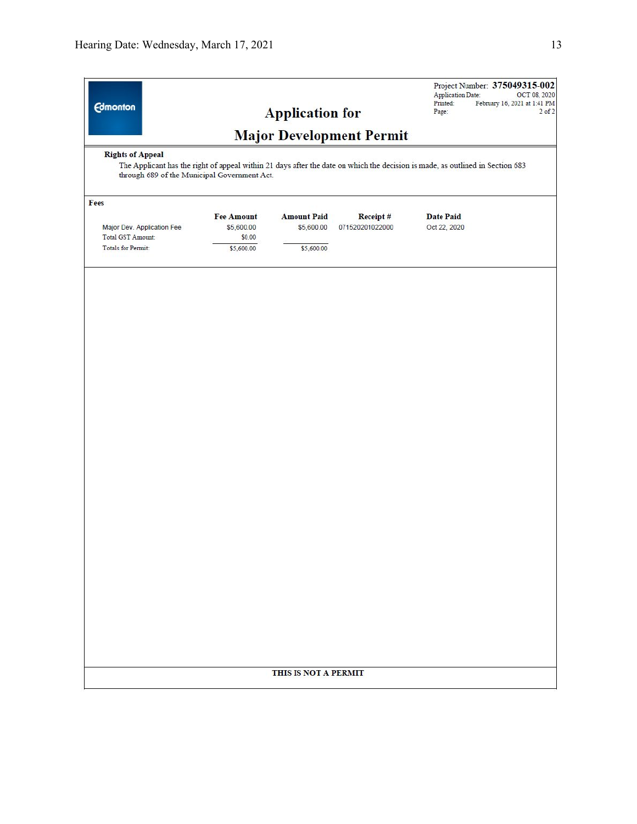| <b>Edmonton</b>                                                                                                                                                                                          |                   | <b>Application for</b> | <b>Major Development Permit</b> | <b>Application Date:</b><br>Printed:<br>Page: | Project Number: 375049315-002<br>OCT 08, 2020<br>February 16, 2021 at 1:41 PM<br>$2$ of $2$ |
|----------------------------------------------------------------------------------------------------------------------------------------------------------------------------------------------------------|-------------------|------------------------|---------------------------------|-----------------------------------------------|---------------------------------------------------------------------------------------------|
| <b>Rights of Appeal</b><br>The Applicant has the right of appeal within 21 days after the date on which the decision is made, as outlined in Section 683<br>through 689 of the Municipal Government Act. |                   |                        |                                 |                                               |                                                                                             |
| Fees                                                                                                                                                                                                     |                   |                        |                                 |                                               |                                                                                             |
|                                                                                                                                                                                                          | <b>Fee Amount</b> | <b>Amount Paid</b>     | Receipt#                        | <b>Date Paid</b>                              |                                                                                             |
| Major Dev. Application Fee                                                                                                                                                                               | \$5,600.00        | \$5,600.00             | 071520201022000                 | Oct 22, 2020                                  |                                                                                             |
| Total GST Amount:                                                                                                                                                                                        | \$0.00            |                        |                                 |                                               |                                                                                             |
| Totals for Permit:                                                                                                                                                                                       | \$5,600.00        | \$5,600.00             |                                 |                                               |                                                                                             |
|                                                                                                                                                                                                          |                   |                        |                                 |                                               |                                                                                             |
|                                                                                                                                                                                                          |                   | THIS IS NOT A PERMIT   |                                 |                                               |                                                                                             |
|                                                                                                                                                                                                          |                   |                        |                                 |                                               |                                                                                             |
|                                                                                                                                                                                                          |                   |                        |                                 |                                               |                                                                                             |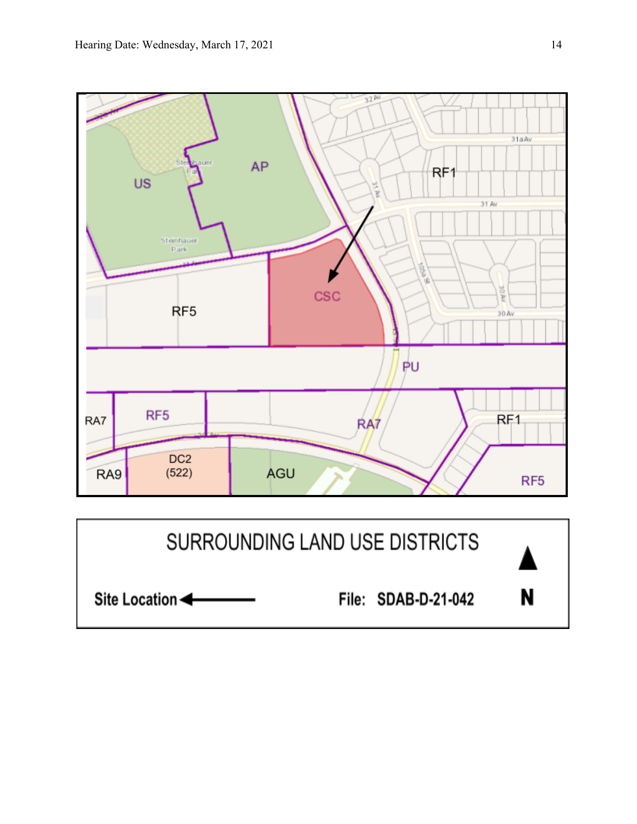

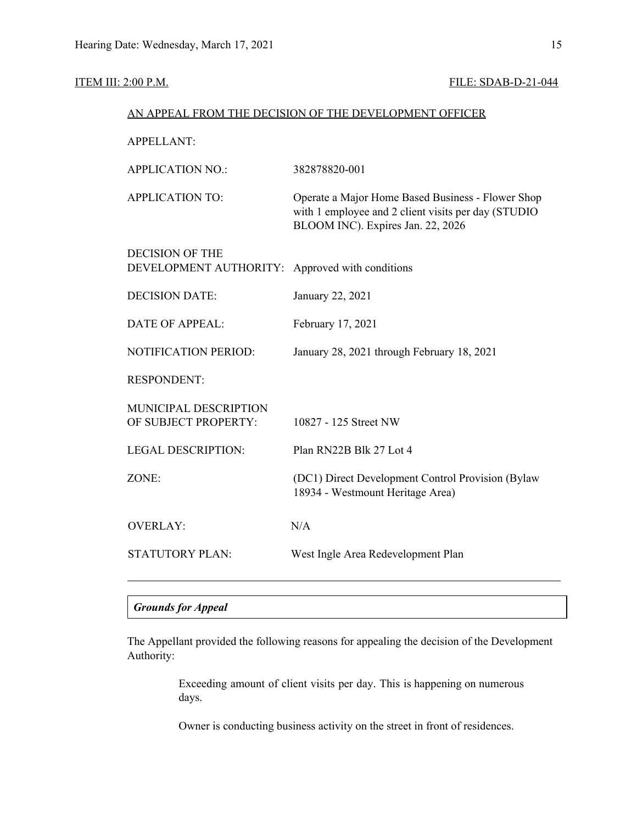# ITEM III: 2:00 P.M. FILE: SDAB-D-21-044

| AN APPEAL FROM THE DECISION OF THE DEVELOPMENT OFFICER |                                                                                                                                               |  |  |  |
|--------------------------------------------------------|-----------------------------------------------------------------------------------------------------------------------------------------------|--|--|--|
| <b>APPELLANT:</b>                                      |                                                                                                                                               |  |  |  |
| <b>APPLICATION NO.:</b>                                | 382878820-001                                                                                                                                 |  |  |  |
| <b>APPLICATION TO:</b>                                 | Operate a Major Home Based Business - Flower Shop<br>with 1 employee and 2 client visits per day (STUDIO<br>BLOOM INC). Expires Jan. 22, 2026 |  |  |  |
| <b>DECISION OF THE</b><br>DEVELOPMENT AUTHORITY:       | Approved with conditions                                                                                                                      |  |  |  |
| <b>DECISION DATE:</b>                                  | January 22, 2021                                                                                                                              |  |  |  |
| <b>DATE OF APPEAL:</b>                                 | February 17, 2021                                                                                                                             |  |  |  |
| <b>NOTIFICATION PERIOD:</b>                            | January 28, 2021 through February 18, 2021                                                                                                    |  |  |  |
| <b>RESPONDENT:</b>                                     |                                                                                                                                               |  |  |  |
| MUNICIPAL DESCRIPTION<br>OF SUBJECT PROPERTY:          | 10827 - 125 Street NW                                                                                                                         |  |  |  |
| <b>LEGAL DESCRIPTION:</b>                              | Plan RN22B Blk 27 Lot 4                                                                                                                       |  |  |  |
| ZONE:                                                  | (DC1) Direct Development Control Provision (Bylaw<br>18934 - Westmount Heritage Area)                                                         |  |  |  |
| <b>OVERLAY:</b>                                        | N/A                                                                                                                                           |  |  |  |
| <b>STATUTORY PLAN:</b>                                 | West Ingle Area Redevelopment Plan                                                                                                            |  |  |  |

# *Grounds for Appeal*

The Appellant provided the following reasons for appealing the decision of the Development Authority:

> Exceeding amount of client visits per day. This is happening on numerous days.

Owner is conducting business activity on the street in front of residences.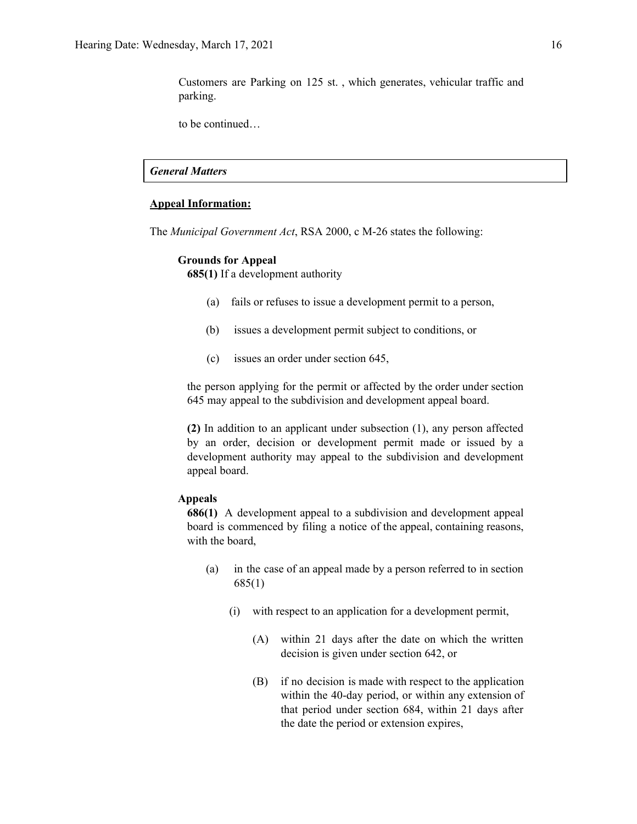Customers are Parking on 125 st. , which generates, vehicular traffic and parking.

to be continued…

# *General Matters*

#### **Appeal Information:**

The *Municipal Government Act*, RSA 2000, c M-26 states the following:

#### **Grounds for Appeal**

**685(1)** If a development authority

- (a) fails or refuses to issue a development permit to a person,
- (b) issues a development permit subject to conditions, or
- (c) issues an order under section 645,

the person applying for the permit or affected by the order under section 645 may appeal to the subdivision and development appeal board.

**(2)** In addition to an applicant under subsection (1), any person affected by an order, decision or development permit made or issued by a development authority may appeal to the subdivision and development appeal board.

#### **Appeals**

**686(1)** A development appeal to a subdivision and development appeal board is commenced by filing a notice of the appeal, containing reasons, with the board,

- (a) in the case of an appeal made by a person referred to in section 685(1)
	- (i) with respect to an application for a development permit,
		- (A) within 21 days after the date on which the written decision is given under section 642, or
		- (B) if no decision is made with respect to the application within the 40-day period, or within any extension of that period under section 684, within 21 days after the date the period or extension expires,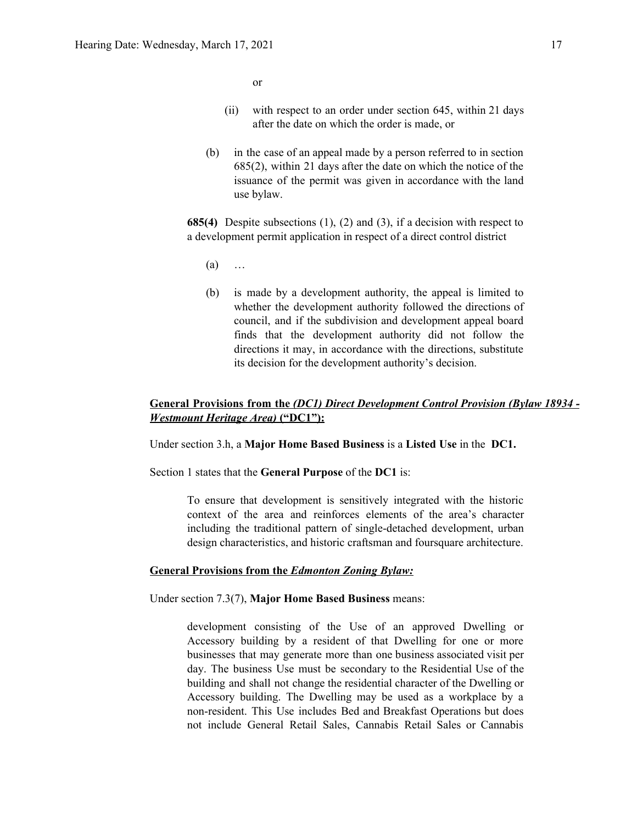or

- (ii) with respect to an order under section 645, within 21 days after the date on which the order is made, or
- (b) in the case of an appeal made by a person referred to in section 685(2), within 21 days after the date on which the notice of the issuance of the permit was given in accordance with the land use bylaw.

**685(4)** Despite subsections (1), (2) and (3), if a decision with respect to a development permit application in respect of a direct control district

- $(a)$  …
- (b) is made by a development authority, the appeal is limited to whether the development authority followed the directions of council, and if the subdivision and development appeal board finds that the development authority did not follow the directions it may, in accordance with the directions, substitute its decision for the development authority's decision.

# **General Provisions from the** *(DC1) Direct Development Control Provision (Bylaw 18934 - Westmount Heritage Area)* **("DC1"):**

Under section 3.h, a **Major Home Based Business** is a **Listed Use** in the **DC1.**

Section 1 states that the **General Purpose** of the **DC1** is:

To ensure that development is sensitively integrated with the historic context of the area and reinforces elements of the area's character including the traditional pattern of single-detached development, urban design characteristics, and historic craftsman and foursquare architecture.

#### **General Provisions from the** *Edmonton Zoning Bylaw:*

Under section 7.3(7), **Major Home Based Business** means:

development consisting of the Use of an approved Dwelling or Accessory building by a resident of that Dwelling for one or more businesses that may generate more than one business associated visit per day. The business Use must be secondary to the Residential Use of the building and shall not change the residential character of the Dwelling or Accessory building. The Dwelling may be used as a workplace by a non-resident. This Use includes Bed and Breakfast Operations but does not include General Retail Sales, Cannabis Retail Sales or Cannabis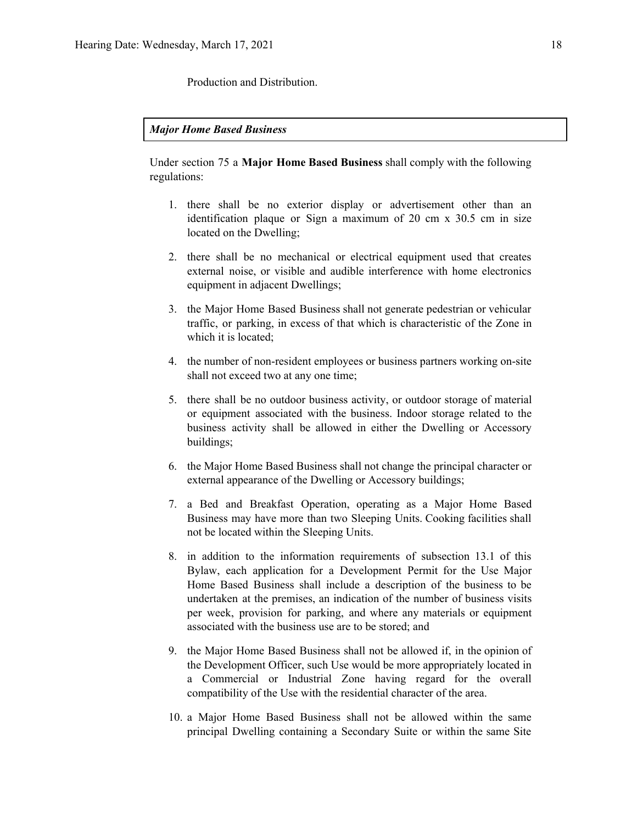Production and Distribution.

### *Major Home Based Business*

Under section 75 a **Major Home Based Business** shall comply with the following regulations:

- 1. there shall be no exterior display or advertisement other than an identification plaque or Sign a maximum of 20 cm x 30.5 cm in size located on the Dwelling;
- 2. there shall be no mechanical or electrical equipment used that creates external noise, or visible and audible interference with home electronics equipment in adjacent Dwellings;
- 3. the Major Home Based Business shall not generate pedestrian or vehicular traffic, or parking, in excess of that which is characteristic of the Zone in which it is located;
- 4. the number of non-resident employees or business partners working on-site shall not exceed two at any one time;
- 5. there shall be no outdoor business activity, or outdoor storage of material or equipment associated with the business. Indoor storage related to the business activity shall be allowed in either the Dwelling or Accessory buildings;
- 6. the Major Home Based Business shall not change the principal character or external appearance of the Dwelling or Accessory buildings;
- 7. a Bed and Breakfast Operation, operating as a Major Home Based Business may have more than two Sleeping Units. Cooking facilities shall not be located within the Sleeping Units.
- 8. in addition to the information requirements of subsection 13.1 of this Bylaw, each application for a Development Permit for the Use Major Home Based Business shall include a description of the business to be undertaken at the premises, an indication of the number of business visits per week, provision for parking, and where any materials or equipment associated with the business use are to be stored; and
- 9. the Major Home Based Business shall not be allowed if, in the opinion of the Development Officer, such Use would be more appropriately located in a Commercial or Industrial Zone having regard for the overall compatibility of the Use with the residential character of the area.
- 10. a Major Home Based Business shall not be allowed within the same principal Dwelling containing a Secondary Suite or within the same Site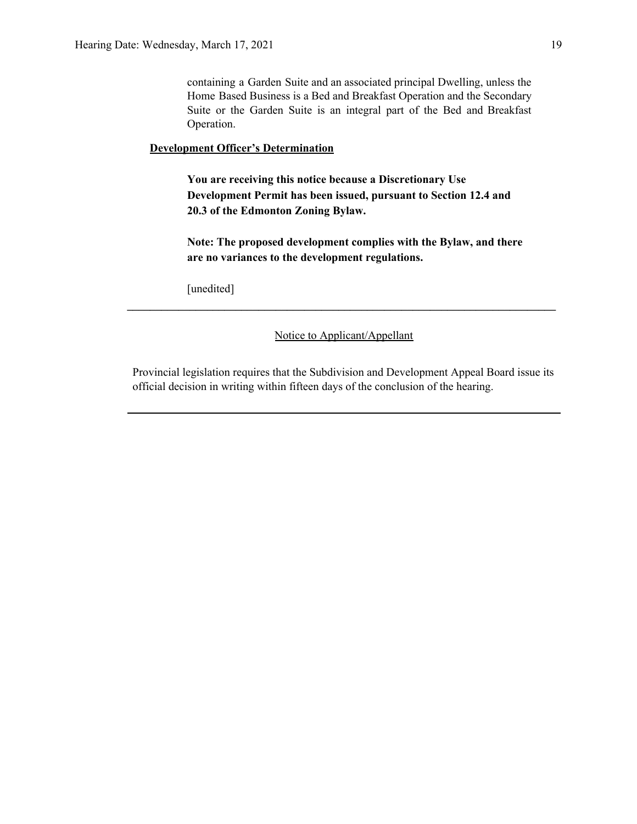containing a Garden Suite and an associated principal Dwelling, unless the Home Based Business is a Bed and Breakfast Operation and the Secondary Suite or the Garden Suite is an integral part of the Bed and Breakfast Operation.

## **Development Officer's Determination**

**You are receiving this notice because a Discretionary Use Development Permit has been issued, pursuant to Section 12.4 and 20.3 of the Edmonton Zoning Bylaw.**

**Note: The proposed development complies with the Bylaw, and there are no variances to the development regulations.**

[unedited]

#### Notice to Applicant/Appellant

**\_\_\_\_\_\_\_\_\_\_\_\_\_\_\_\_\_\_\_\_\_\_\_\_\_\_\_\_\_\_\_\_\_\_\_\_\_\_\_\_\_\_\_\_\_\_\_\_\_\_\_\_\_\_\_\_\_\_\_\_\_\_\_\_\_\_\_\_\_\_\_\_\_\_\_**

Provincial legislation requires that the Subdivision and Development Appeal Board issue its official decision in writing within fifteen days of the conclusion of the hearing.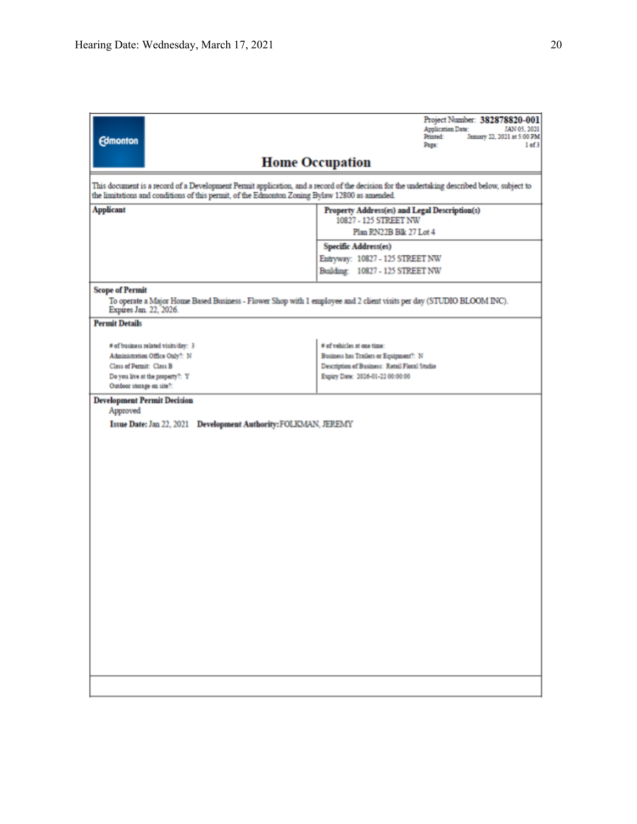|                                                                                            | Project Number: 382878820-001<br><b>Application Date:</b><br>JAN 05, 2021                                                                                                                                                                    |  |  |  |  |
|--------------------------------------------------------------------------------------------|----------------------------------------------------------------------------------------------------------------------------------------------------------------------------------------------------------------------------------------------|--|--|--|--|
| <b>Edmonton</b>                                                                            | Printed:<br>January 22, 2021 at 5:00 PM<br>Page:<br>$1$ of $3$                                                                                                                                                                               |  |  |  |  |
|                                                                                            | <b>Home Occupation</b>                                                                                                                                                                                                                       |  |  |  |  |
|                                                                                            | This document is a record of a Development Permit application, and a record of the decision for the undertaking described below, subject to<br>the limitations and conditions of this permit, of the Edmonton Zoning Bylaw 12800 as amended. |  |  |  |  |
| <b>Applicant</b><br>Property Address(es) and Legal Description(s)<br>10827 - 125 STREET NW |                                                                                                                                                                                                                                              |  |  |  |  |
|                                                                                            | Plan RN22B Blk 27 Lot 4                                                                                                                                                                                                                      |  |  |  |  |
|                                                                                            | Specific Address(es)                                                                                                                                                                                                                         |  |  |  |  |
|                                                                                            | Entryway: 10827 - 125 STREET NW                                                                                                                                                                                                              |  |  |  |  |
|                                                                                            | Building: 10827 - 125 STREET NW                                                                                                                                                                                                              |  |  |  |  |
| <b>Scope of Permit</b><br>Expires Jan. 22, 2026.                                           | To operate a Major Home Based Business - Flower Shop with 1 employee and 2 client visits per day (STUDIO BLOOM INC).                                                                                                                         |  |  |  |  |
| <b>Permit Details</b>                                                                      |                                                                                                                                                                                                                                              |  |  |  |  |
| # of business related visits/day: 3                                                        | # of vehicles at one time:                                                                                                                                                                                                                   |  |  |  |  |
| Administration Office Only?: N                                                             | Business has Trailers or Equipment?: N                                                                                                                                                                                                       |  |  |  |  |
| Class of Permit: Class B                                                                   | Description of Business: Retail Floral Studio                                                                                                                                                                                                |  |  |  |  |
| Do you live at the property?: Y<br>Outdoor storage on site?:                               | Expiry Date: 2026-01-22 00:00:00                                                                                                                                                                                                             |  |  |  |  |
| <b>Development Permit Decision</b><br>Approved                                             |                                                                                                                                                                                                                                              |  |  |  |  |
| Issue Date: Jan 22, 2021 Development Authority: FOLKMAN, JEREMY                            |                                                                                                                                                                                                                                              |  |  |  |  |
|                                                                                            |                                                                                                                                                                                                                                              |  |  |  |  |
|                                                                                            |                                                                                                                                                                                                                                              |  |  |  |  |
|                                                                                            |                                                                                                                                                                                                                                              |  |  |  |  |
|                                                                                            |                                                                                                                                                                                                                                              |  |  |  |  |
|                                                                                            |                                                                                                                                                                                                                                              |  |  |  |  |
|                                                                                            |                                                                                                                                                                                                                                              |  |  |  |  |
|                                                                                            |                                                                                                                                                                                                                                              |  |  |  |  |
|                                                                                            |                                                                                                                                                                                                                                              |  |  |  |  |
|                                                                                            |                                                                                                                                                                                                                                              |  |  |  |  |
|                                                                                            |                                                                                                                                                                                                                                              |  |  |  |  |
|                                                                                            |                                                                                                                                                                                                                                              |  |  |  |  |
|                                                                                            |                                                                                                                                                                                                                                              |  |  |  |  |
|                                                                                            |                                                                                                                                                                                                                                              |  |  |  |  |
|                                                                                            |                                                                                                                                                                                                                                              |  |  |  |  |
|                                                                                            |                                                                                                                                                                                                                                              |  |  |  |  |
|                                                                                            |                                                                                                                                                                                                                                              |  |  |  |  |
|                                                                                            |                                                                                                                                                                                                                                              |  |  |  |  |
|                                                                                            |                                                                                                                                                                                                                                              |  |  |  |  |
|                                                                                            |                                                                                                                                                                                                                                              |  |  |  |  |
|                                                                                            |                                                                                                                                                                                                                                              |  |  |  |  |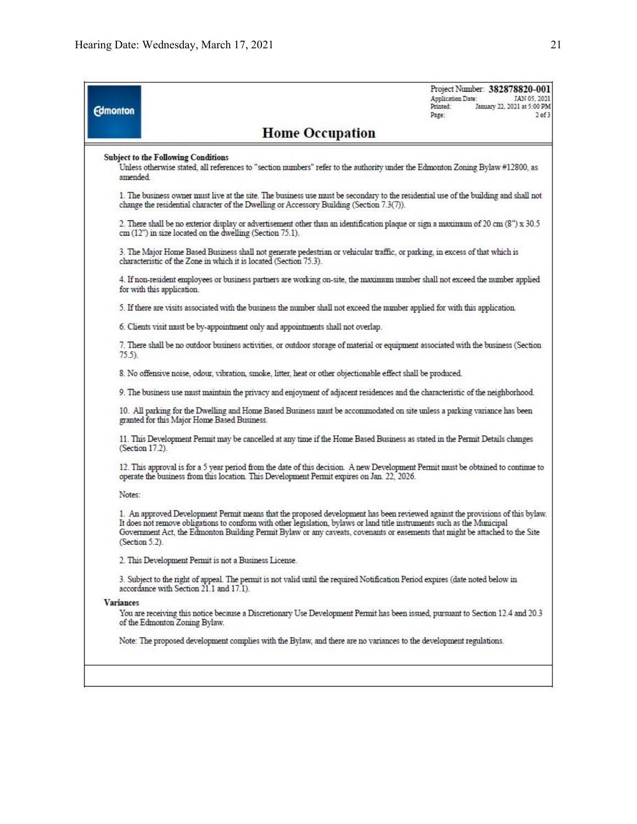| <b>Edmonton</b>  |                                                                                                                                                                                                                                                                                                                                                                                                                | Project Number: 382878820-001<br>Application Date:<br>JAN 05, 202<br>January 22, 2021 at 5:00 PM<br>Printed:<br>2 <sub>of</sub><br>Page: |
|------------------|----------------------------------------------------------------------------------------------------------------------------------------------------------------------------------------------------------------------------------------------------------------------------------------------------------------------------------------------------------------------------------------------------------------|------------------------------------------------------------------------------------------------------------------------------------------|
|                  | <b>Home Occupation</b>                                                                                                                                                                                                                                                                                                                                                                                         |                                                                                                                                          |
| amended.         | <b>Subject to the Following Conditions</b><br>Unless otherwise stated, all references to "section numbers" refer to the authority under the Edmonton Zoning Bylaw #12800, as                                                                                                                                                                                                                                   |                                                                                                                                          |
|                  | 1. The business owner must live at the site. The business use must be secondary to the residential use of the building and shall not<br>change the residential character of the Dwelling or Accessory Building (Section $7.3(7)$ ).                                                                                                                                                                            |                                                                                                                                          |
|                  | 2. There shall be no exterior display or advertisement other than an identification plaque or sign a maximum of 20 cm (8") x 30.5<br>cm (12") in size located on the dwelling (Section 75.1).                                                                                                                                                                                                                  |                                                                                                                                          |
|                  | 3. The Major Home Based Business shall not generate pedestrian or vehicular traffic, or parking, in excess of that which is<br>characteristic of the Zone in which it is located (Section 75.3).                                                                                                                                                                                                               |                                                                                                                                          |
|                  | 4. If non-resident employees or business partners are working on-site, the maximum number shall not exceed the number applied<br>for with this application.                                                                                                                                                                                                                                                    |                                                                                                                                          |
|                  | 5. If there are visits associated with the business the number shall not exceed the number applied for with this application.                                                                                                                                                                                                                                                                                  |                                                                                                                                          |
|                  | 6. Clients visit must be by-appointment only and appointments shall not overlap.                                                                                                                                                                                                                                                                                                                               |                                                                                                                                          |
| $75.5$ ).        | 7. There shall be no outdoor business activities, or outdoor storage of material or equipment associated with the business (Section                                                                                                                                                                                                                                                                            |                                                                                                                                          |
|                  | 8. No offensive noise, odour, vibration, smoke, litter, heat or other objectionable effect shall be produced.                                                                                                                                                                                                                                                                                                  |                                                                                                                                          |
|                  | 9. The business use must maintain the privacy and enjoyment of adjacent residences and the characteristic of the neighborhood.                                                                                                                                                                                                                                                                                 |                                                                                                                                          |
|                  | 10. All parking for the Dwelling and Home Based Business must be accommodated on site unless a parking variance has been<br>granted for this Major Home Based Business.                                                                                                                                                                                                                                        |                                                                                                                                          |
|                  | 11. This Development Permit may be cancelled at any time if the Home Based Business as stated in the Permit Details changes<br>$(Secton 17.2)$ .                                                                                                                                                                                                                                                               |                                                                                                                                          |
|                  | 12. This approval is for a 5 year period from the date of this decision. A new Development Permit must be obtained to continue to<br>operate the business from this location. This Development Permit expires on Jan. 22, 2026.                                                                                                                                                                                |                                                                                                                                          |
| Notes:           |                                                                                                                                                                                                                                                                                                                                                                                                                |                                                                                                                                          |
|                  | 1. An approved Development Permit means that the proposed development has been reviewed against the provisions of this bylaw.<br>It does not remove obligations to conform with other legislation, bylaws or land title instruments such as the Municipal<br>Government Act, the Edmonton Building Permit Bylaw or any caveats, covenants or easements that might be attached to the Site<br>$(Section 5.2)$ . |                                                                                                                                          |
|                  | 2. This Development Permit is not a Business License.                                                                                                                                                                                                                                                                                                                                                          |                                                                                                                                          |
|                  | 3. Subject to the right of appeal. The permit is not valid until the required Notification Period expires (date noted below in<br>accordance with Section 21.1 and 17.1).                                                                                                                                                                                                                                      |                                                                                                                                          |
| <b>Variances</b> |                                                                                                                                                                                                                                                                                                                                                                                                                |                                                                                                                                          |
|                  | You are receiving this notice because a Discretionary Use Development Permit has been issued, pursuant to Section 12.4 and 20.3<br>of the Edmonton Zoning Bylaw.                                                                                                                                                                                                                                               |                                                                                                                                          |
|                  | Note: The proposed development complies with the Bylaw, and there are no variances to the development regulations.                                                                                                                                                                                                                                                                                             |                                                                                                                                          |
|                  |                                                                                                                                                                                                                                                                                                                                                                                                                |                                                                                                                                          |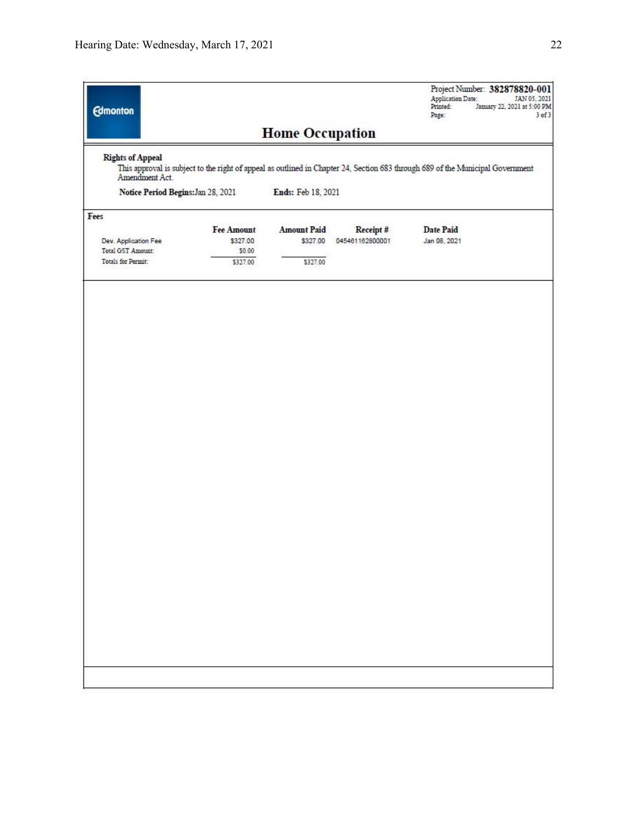| <b>Edmonton</b>                           |                                         |                                |                              | Project Number: 382878820-001<br><b>Application Date:</b><br>JAN 05, 2021<br>January 22, 2021 at 5:00 PM<br>Printed:<br>Page:<br>$3$ of $3$ |
|-------------------------------------------|-----------------------------------------|--------------------------------|------------------------------|---------------------------------------------------------------------------------------------------------------------------------------------|
|                                           |                                         | <b>Home Occupation</b>         |                              |                                                                                                                                             |
| <b>Rights of Appeal</b><br>Amendment Act. |                                         |                                |                              | This approval is subject to the right of appeal as outlined in Chapter 24, Section 683 through 689 of the Municipal Government              |
| Notice Period Begins: Jan 28, 2021        |                                         | Ends: Feb 18, 2021             |                              |                                                                                                                                             |
| Fees                                      |                                         |                                |                              |                                                                                                                                             |
| Dev. Application Fee<br>Total GST Amount: | <b>Fee Amount</b><br>\$327.00<br>\$0.00 | <b>Amount Paid</b><br>\$327.00 | Receipt #<br>045461162800001 | <b>Date Paid</b><br>Jan 08, 2021                                                                                                            |
| Totals for Permit:                        | \$327.00                                | \$327.00                       |                              |                                                                                                                                             |
|                                           |                                         |                                |                              |                                                                                                                                             |
|                                           |                                         |                                |                              |                                                                                                                                             |
|                                           |                                         |                                |                              |                                                                                                                                             |
|                                           |                                         |                                |                              |                                                                                                                                             |
|                                           |                                         |                                |                              |                                                                                                                                             |
|                                           |                                         |                                |                              |                                                                                                                                             |
|                                           |                                         |                                |                              |                                                                                                                                             |
|                                           |                                         |                                |                              |                                                                                                                                             |
|                                           |                                         |                                |                              |                                                                                                                                             |
|                                           |                                         |                                |                              |                                                                                                                                             |